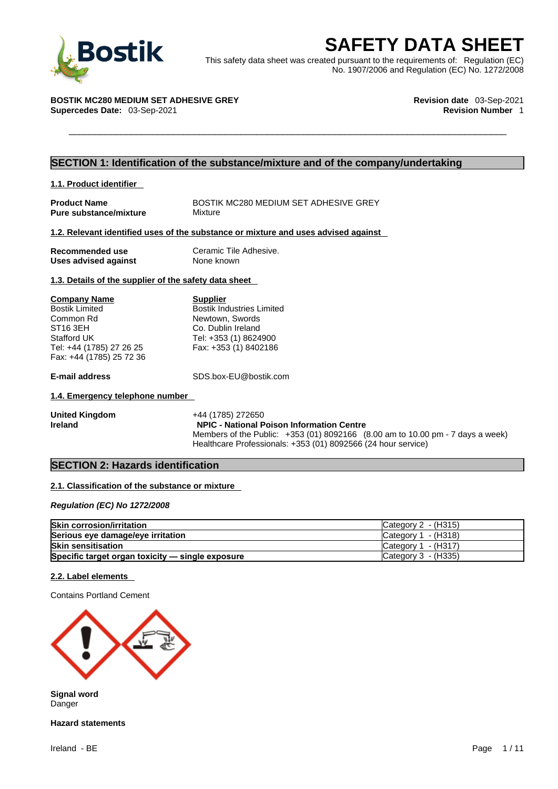

**BOStik**<br>
This safety data sheet was created pursuant to the requirements of: Regulation (EC)<br>
No. 1907/2006 and Regulation (EC) No. 1272/2008<br>
TIK MC280 MEDIUM SET ADHESIVE GREY<br>
Revision date 03-Sep-2021<br>
Revision Number This safety data sheet was created pursuant to the requirements of: Regulation (EC) No. 1907/2006 and Regulation (EC) No. 1272/2008

#### **BOSTIK MC280 MEDIUM SET ADHESIVE GREY Revision date** 03-Sep-2021 **Supercedes Date: 03-Sep-2021**

#### **SECTION 1: Identification of the substance/mixture and of the company/undertaking**

| 1.1. Product identifier                       |                                                                                    |
|-----------------------------------------------|------------------------------------------------------------------------------------|
| <b>Product Name</b><br>Pure substance/mixture | BOSTIK MC280 MEDIUM SET ADHESIVE GREY<br>Mixture                                   |
|                                               | 1.2. Relevant identified uses of the substance or mixture and uses advised against |

| Recommended use             | Ceramic Tile Adhesive. |
|-----------------------------|------------------------|
| <b>Uses advised against</b> | None known             |

#### **1.3. Details of the supplier of the safety data sheet**

| <b>Company Name</b>      | <b>Supplier</b>                  |
|--------------------------|----------------------------------|
| <b>Bostik Limited</b>    | <b>Bostik Industries Limited</b> |
| Common Rd                | Newtown, Swords                  |
| ST16 3EH                 | Co. Dublin Ireland               |
| Stafford UK              | Tel: +353 (1) 8624900            |
| Tel: +44 (1785) 27 26 25 | Fax: +353 (1) 8402186            |
| Fax: +44 (1785) 25 72 36 |                                  |

**E-mail address** SDS.box-EU@bostik.com

#### **1.4. Emergency telephone number**

| <b>United Kingdom</b> | +44 (1785) 272650                                                              |
|-----------------------|--------------------------------------------------------------------------------|
| Ireland               | <b>NPIC - National Poison Information Centre</b>                               |
|                       | Members of the Public: +353 (01) 8092166 (8.00 am to 10.00 pm - 7 days a week) |
|                       | Healthcare Professionals: +353 (01) 8092566 (24 hour service)                  |

#### **SECTION 2: Hazards identification**

#### **2.1. Classification of the substance or mixture**

*Regulation (EC) No 1272/2008* 

| <b>Skin corrosion/irritation</b>                 | Category 2 - (H315)   |
|--------------------------------------------------|-----------------------|
| Serious eye damage/eye irritation                | Category $1 - (H318)$ |
| <b>Skin sensitisation</b>                        | Category $1 - (H317)$ |
| Specific target organ toxicity - single exposure | Category 3 - (H335)   |

#### **2.2. Label elements**

Contains Portland Cement



**Signal word** Danger

**Hazard statements**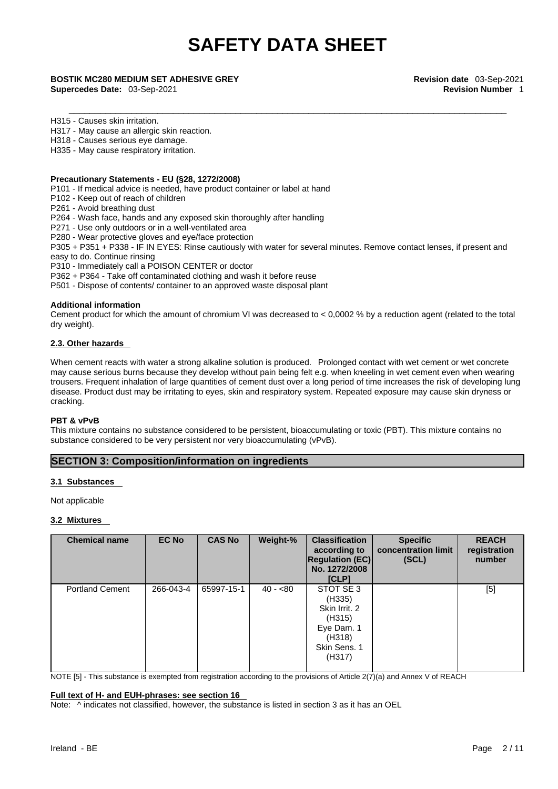**Supercedes Date:** 03-Sep-2021 **Revision Number** 1

H315 - Causes skin irritation.

H317 - May cause an allergic skin reaction.

H318 - Causes serious eye damage.

H335 - May cause respiratory irritation.

#### **Precautionary Statements - EU (§28, 1272/2008)**

P101 - If medical advice is needed, have product container or label at hand

P102 - Keep out of reach of children

P261 - Avoid breathing dust

P264 - Wash face, hands and any exposed skin thoroughly after handling

P271 - Use only outdoors or in a well-ventilated area

P280 - Wear protective gloves and eye/face protection

P305 + P351 + P338 - IF IN EYES: Rinse cautiously with water for several minutes. Remove contact lenses, if present and easy to do. Continue rinsing

P310 - Immediately call a POISON CENTER or doctor

P362 + P364 - Take off contaminated clothing and wash it before reuse

P501 - Dispose of contents/ container to an approved waste disposal plant

#### **Additional information**

Cement product for which the amount of chromium VI was decreased to  $< 0.0002$  % by a reduction agent (related to the total dry weight).

#### **2.3. Other hazards**

When cement reacts with water a strong alkaline solution is produced. Prolonged contact with wet cement or wet concrete may cause serious burns because they develop without pain being felt e.g. when kneeling in wet cement even when wearing trousers. Frequent inhalation of large quantities of cement dust over a long period of time increases the risk of developing lung disease. Product dust may be irritating to eyes, skin and respiratory system. Repeated exposure may cause skin dryness or cracking.

#### **PBT & vPvB**

This mixture contains no substance considered to be persistent, bioaccumulating or toxic (PBT). This mixture contains no substance considered to be very persistent nor very bioaccumulating (vPvB).

#### **SECTION 3: Composition/information on ingredients**

#### **3.1 Substances**

Not applicable

#### **3.2 Mixtures**

| concentration limit<br>according to<br><b>Regulation (EC)</b><br>(SCL)<br>No. 1272/2008<br>[CLP]                                                                   | registration<br>number |  |  |  |
|--------------------------------------------------------------------------------------------------------------------------------------------------------------------|------------------------|--|--|--|
| <b>Portland Cement</b><br>266-043-4<br>65997-15-1<br>$40 - 80$<br>STOT SE 3<br>(H335)<br>Skin Irrit, 2<br>(H315)<br>Eye Dam. 1<br>(H318)<br>Skin Sens. 1<br>(H317) | [5]                    |  |  |  |

NOTE [5] - This substance is exempted from registration according to the provisions of Article 2(7)(a) and Annex V of REACH

#### **Full text of H- and EUH-phrases: see section 16**

Note:  $\wedge$  indicates not classified, however, the substance is listed in section 3 as it has an OEL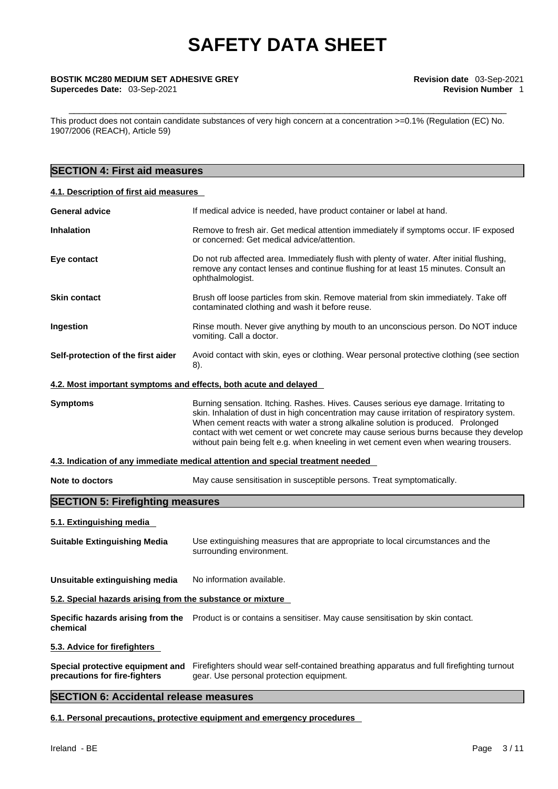This product does not contain candidate substances of very high concern at a concentration >=0.1% (Regulation (EC) No. 1907/2006 (REACH), Article 59)

### **SECTION 4: First aid measures**

#### **4.1. Description of first aid measures**

|                                                                  | If medical advice is needed, have product container or label at hand.                                                                                                                                                                                                                                                                                                                                                                                |
|------------------------------------------------------------------|------------------------------------------------------------------------------------------------------------------------------------------------------------------------------------------------------------------------------------------------------------------------------------------------------------------------------------------------------------------------------------------------------------------------------------------------------|
| Inhalation                                                       | Remove to fresh air. Get medical attention immediately if symptoms occur. IF exposed<br>or concerned: Get medical advice/attention.                                                                                                                                                                                                                                                                                                                  |
| Eye contact                                                      | Do not rub affected area. Immediately flush with plenty of water. After initial flushing,<br>remove any contact lenses and continue flushing for at least 15 minutes. Consult an<br>ophthalmologist.                                                                                                                                                                                                                                                 |
| <b>Skin contact</b>                                              | Brush off loose particles from skin. Remove material from skin immediately. Take off<br>contaminated clothing and wash it before reuse.                                                                                                                                                                                                                                                                                                              |
| Ingestion                                                        | Rinse mouth. Never give anything by mouth to an unconscious person. Do NOT induce<br>vomiting. Call a doctor.                                                                                                                                                                                                                                                                                                                                        |
| Self-protection of the first aider                               | Avoid contact with skin, eyes or clothing. Wear personal protective clothing (see section<br>8).                                                                                                                                                                                                                                                                                                                                                     |
| 4.2. Most important symptoms and effects, both acute and delayed |                                                                                                                                                                                                                                                                                                                                                                                                                                                      |
| Symptoms                                                         | Burning sensation. Itching. Rashes. Hives. Causes serious eye damage. Irritating to<br>skin. Inhalation of dust in high concentration may cause irritation of respiratory system.<br>When cement reacts with water a strong alkaline solution is produced. Prolonged<br>contact with wet cement or wet concrete may cause serious burns because they develop<br>without pain being felt e.g. when kneeling in wet cement even when wearing trousers. |
|                                                                  | 4.3. Indication of any immediate medical attention and special treatment needed                                                                                                                                                                                                                                                                                                                                                                      |
| <b>Note to doctors</b>                                           | May cause sensitisation in susceptible persons. Treat symptomatically.                                                                                                                                                                                                                                                                                                                                                                               |
|                                                                  |                                                                                                                                                                                                                                                                                                                                                                                                                                                      |
| <b>SECTION 5: Firefighting measures</b>                          |                                                                                                                                                                                                                                                                                                                                                                                                                                                      |
| 5.1. Extinguishing media                                         |                                                                                                                                                                                                                                                                                                                                                                                                                                                      |
| <b>Suitable Extinguishing Media</b>                              | Use extinguishing measures that are appropriate to local circumstances and the<br>surrounding environment.                                                                                                                                                                                                                                                                                                                                           |
| Unsuitable extinguishing media                                   | No information available.                                                                                                                                                                                                                                                                                                                                                                                                                            |
| 5.2. Special hazards arising from the substance or mixture       |                                                                                                                                                                                                                                                                                                                                                                                                                                                      |
| chemical                                                         | <b>Specific hazards arising from the</b> Product is or contains a sensitiser. May cause sensitisation by skin contact.                                                                                                                                                                                                                                                                                                                               |
| 5.3. Advice for firefighters                                     |                                                                                                                                                                                                                                                                                                                                                                                                                                                      |

#### **SECTION 6: Accidental release measures**

**6.1. Personal precautions, protective equipment and emergency procedures**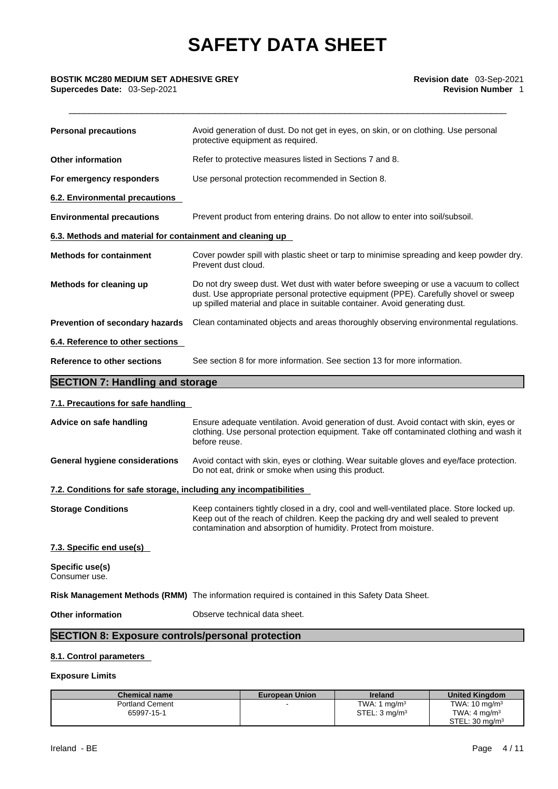### \_\_\_\_\_\_\_\_\_\_\_\_\_\_\_\_\_\_\_\_\_\_\_\_\_\_\_\_\_\_\_\_\_\_\_\_\_\_\_\_\_\_\_\_\_\_\_\_\_\_\_\_\_\_\_\_\_\_\_\_\_\_\_\_\_\_\_\_\_\_\_\_\_\_\_\_\_\_\_\_\_\_\_\_ **BOSTIK MC280 MEDIUM SET ADHESIVE GREY Revision date** 03-Sep-2021 **Supercedes Date:** 03-Sep-2021 **Revision Number** 1

| <b>Personal precautions</b>                                       | Avoid generation of dust. Do not get in eyes, on skin, or on clothing. Use personal<br>protective equipment as required.                                                                                                                                     |
|-------------------------------------------------------------------|--------------------------------------------------------------------------------------------------------------------------------------------------------------------------------------------------------------------------------------------------------------|
| <b>Other information</b>                                          | Refer to protective measures listed in Sections 7 and 8.                                                                                                                                                                                                     |
| For emergency responders                                          | Use personal protection recommended in Section 8.                                                                                                                                                                                                            |
| 6.2. Environmental precautions                                    |                                                                                                                                                                                                                                                              |
| <b>Environmental precautions</b>                                  | Prevent product from entering drains. Do not allow to enter into soil/subsoil.                                                                                                                                                                               |
| 6.3. Methods and material for containment and cleaning up         |                                                                                                                                                                                                                                                              |
| <b>Methods for containment</b>                                    | Cover powder spill with plastic sheet or tarp to minimise spreading and keep powder dry.<br>Prevent dust cloud.                                                                                                                                              |
| Methods for cleaning up                                           | Do not dry sweep dust. Wet dust with water before sweeping or use a vacuum to collect<br>dust. Use appropriate personal protective equipment (PPE). Carefully shovel or sweep<br>up spilled material and place in suitable container. Avoid generating dust. |
| Prevention of secondary hazards                                   | Clean contaminated objects and areas thoroughly observing environmental regulations.                                                                                                                                                                         |
| 6.4. Reference to other sections                                  |                                                                                                                                                                                                                                                              |
| <b>Reference to other sections</b>                                | See section 8 for more information. See section 13 for more information.                                                                                                                                                                                     |
| <b>SECTION 7: Handling and storage</b>                            |                                                                                                                                                                                                                                                              |
| 7.1. Precautions for safe handling                                |                                                                                                                                                                                                                                                              |
| Advice on safe handling                                           | Ensure adequate ventilation. Avoid generation of dust. Avoid contact with skin, eyes or<br>clothing. Use personal protection equipment. Take off contaminated clothing and wash it<br>before reuse.                                                          |
| <b>General hygiene considerations</b>                             | Avoid contact with skin, eyes or clothing. Wear suitable gloves and eye/face protection.<br>Do not eat, drink or smoke when using this product.                                                                                                              |
| 7.2. Conditions for safe storage, including any incompatibilities |                                                                                                                                                                                                                                                              |
|                                                                   |                                                                                                                                                                                                                                                              |

#### **7.3. Specific end use(s)**

**Specific use(s)** Consumer use.

**Risk Management Methods (RMM)** The information required is contained in this Safety Data Sheet.

**Other information** Observe technical data sheet.

**SECTION 8: Exposure controls/personal protection**

#### **8.1. Control parameters**

#### **Exposure Limits**

| <b>Chemical name</b>   | <b>European Union</b> | <b>Ireland</b>            | <b>United Kingdom</b>     |
|------------------------|-----------------------|---------------------------|---------------------------|
| <b>Portland Cement</b> |                       | TWA: 1 $ma/m3$            | TWA: $10 \text{ mg/m}^3$  |
| 65997-15-1             |                       | STEL: 3 mg/m <sup>3</sup> | TWA: $4 \text{ mg/m}^3$   |
|                        |                       |                           | STEL: $30 \text{ mg/m}^3$ |

**Storage Conditions** Keep containers tightly closed in a dry, cool and well-ventilated place. Store locked up.

contamination and absorption of humidity. Protect from moisture.

Keep out of the reach of children. Keep the packing dry and well sealed to prevent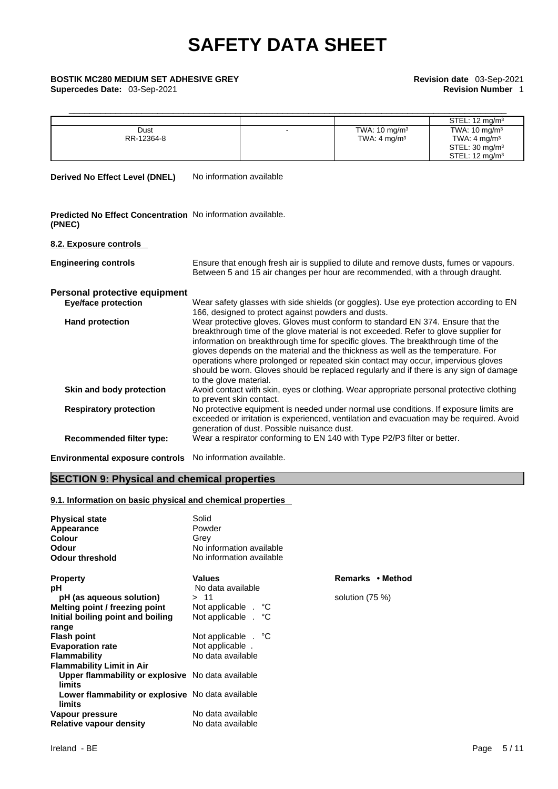### \_\_\_\_\_\_\_\_\_\_\_\_\_\_\_\_\_\_\_\_\_\_\_\_\_\_\_\_\_\_\_\_\_\_\_\_\_\_\_\_\_\_\_\_\_\_\_\_\_\_\_\_\_\_\_\_\_\_\_\_\_\_\_\_\_\_\_\_\_\_\_\_\_\_\_\_\_\_\_\_\_\_\_\_ **BOSTIK MC280 MEDIUM SET ADHESIVE GREY Revision date** 03-Sep-2021 **Supercedes Date:** 03-Sep-2021 **Revision Number** 1

| Dust<br>RR-12364-8                                                    | TWA: $10 \text{ mg/m}^3$<br>TWA: $4 \text{ mg/m}^3$ | STEL: $12 \text{ mg/m}^3$<br>TWA: $10 \text{ mg/m}^3$<br>TWA: $4 \text{ mg/m}^3$<br>STEL: $30 \text{ mg/m}^3$<br>STEL: $12 \text{ mq/m}^3$ |
|-----------------------------------------------------------------------|-----------------------------------------------------|--------------------------------------------------------------------------------------------------------------------------------------------|
| No information available<br><b>Derived No Effect Level (DNEL)</b>     |                                                     |                                                                                                                                            |
| Predicted No Effect Concentration No information available.<br>(PNEC) |                                                     |                                                                                                                                            |
| 0.0 Evening controls                                                  |                                                     |                                                                                                                                            |

#### **8.2. Exposure controls**

| <b>Engineering controls</b>     | Ensure that enough fresh air is supplied to dilute and remove dusts, fumes or vapours.<br>Between 5 and 15 air changes per hour are recommended, with a through draught.                                                                                                                                                                                                                                                                                                                                                                                  |
|---------------------------------|-----------------------------------------------------------------------------------------------------------------------------------------------------------------------------------------------------------------------------------------------------------------------------------------------------------------------------------------------------------------------------------------------------------------------------------------------------------------------------------------------------------------------------------------------------------|
| Personal protective equipment   |                                                                                                                                                                                                                                                                                                                                                                                                                                                                                                                                                           |
| <b>Eye/face protection</b>      | Wear safety glasses with side shields (or goggles). Use eye protection according to EN<br>166, designed to protect against powders and dusts.                                                                                                                                                                                                                                                                                                                                                                                                             |
| <b>Hand protection</b>          | Wear protective gloves. Gloves must conform to standard EN 374. Ensure that the<br>breakthrough time of the glove material is not exceeded. Refer to glove supplier for<br>information on breakthrough time for specific gloves. The breakthrough time of the<br>gloves depends on the material and the thickness as well as the temperature. For<br>operations where prolonged or repeated skin contact may occur, impervious gloves<br>should be worn. Gloves should be replaced regularly and if there is any sign of damage<br>to the glove material. |
| Skin and body protection        | Avoid contact with skin, eyes or clothing. Wear appropriate personal protective clothing<br>to prevent skin contact.                                                                                                                                                                                                                                                                                                                                                                                                                                      |
| <b>Respiratory protection</b>   | No protective equipment is needed under normal use conditions. If exposure limits are<br>exceeded or irritation is experienced, ventilation and evacuation may be required. Avoid<br>generation of dust. Possible nuisance dust.                                                                                                                                                                                                                                                                                                                          |
| <b>Recommended filter type:</b> | Wear a respirator conforming to EN 140 with Type P2/P3 filter or better.                                                                                                                                                                                                                                                                                                                                                                                                                                                                                  |
|                                 |                                                                                                                                                                                                                                                                                                                                                                                                                                                                                                                                                           |

**Environmental exposure controls** No information available.

### **SECTION 9: Physical and chemical properties**

#### **9.1. Information on basic physical and chemical properties**

| <b>Physical state</b>                                              | Solid                    |                |
|--------------------------------------------------------------------|--------------------------|----------------|
| Appearance                                                         | Powder                   |                |
| Colour                                                             | Grey                     |                |
| Odour                                                              | No information available |                |
| <b>Odour threshold</b>                                             | No information available |                |
| <b>Property</b>                                                    | <b>Values</b>            | Remarks • N    |
| рH                                                                 | No data available        |                |
| pH (as aqueous solution)                                           | > 11                     | solution (75 % |
| Melting point / freezing point                                     | Not applicable . °C      |                |
| Initial boiling point and boiling                                  | Not applicable . °C      |                |
| range                                                              |                          |                |
| <b>Flash point</b>                                                 | Not applicable . °C      |                |
| <b>Evaporation rate</b>                                            | Not applicable.          |                |
| <b>Flammability</b>                                                | No data available        |                |
| <b>Flammability Limit in Air</b>                                   |                          |                |
| <b>Upper flammability or explosive</b> No data available<br>limits |                          |                |
| Lower flammability or explosive No data available<br>limits        |                          |                |
| Vapour pressure                                                    | No data available        |                |
| Relative vapour density                                            | No data available        |                |

**Remarks • Method** 

**solution (75 %)**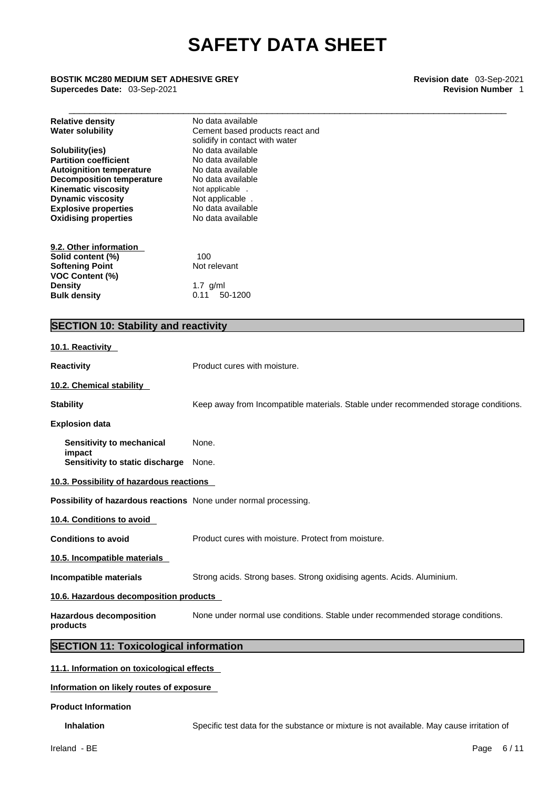### \_\_\_\_\_\_\_\_\_\_\_\_\_\_\_\_\_\_\_\_\_\_\_\_\_\_\_\_\_\_\_\_\_\_\_\_\_\_\_\_\_\_\_\_\_\_\_\_\_\_\_\_\_\_\_\_\_\_\_\_\_\_\_\_\_\_\_\_\_\_\_\_\_\_\_\_\_\_\_\_\_\_\_\_ **BOSTIK MC280 MEDIUM SET ADHESIVE GREY Revision date** 03-Sep-2021 **Supercedes Date:** 03-Sep-2021 **Revision Number** 1

| <b>Relative density</b><br><b>Water solubility</b> | No data available<br>Cement based products react and<br>solidify in contact with water |
|----------------------------------------------------|----------------------------------------------------------------------------------------|
| Solubility(ies)                                    | No data available                                                                      |
| <b>Partition coefficient</b>                       | No data available                                                                      |
| <b>Autoignition temperature</b>                    | No data available                                                                      |
| <b>Decomposition temperature</b>                   | No data available                                                                      |
| <b>Kinematic viscosity</b>                         | Not applicable .                                                                       |
| <b>Dynamic viscosity</b>                           | Not applicable.                                                                        |
| <b>Explosive properties</b>                        | No data available                                                                      |
| <b>Oxidising properties</b>                        | No data available                                                                      |
| 9.2. Other information                             |                                                                                        |
| Solid content (%)                                  | 100                                                                                    |
| <b>Softening Point</b>                             | Not relevant                                                                           |
| <b>VOC Content (%)</b>                             |                                                                                        |
| <b>Density</b>                                     | 1.7 $g/ml$                                                                             |
| <b>Bulk density</b>                                | 50-1200<br>0.11                                                                        |

### **SECTION 10: Stability and reactivity**

### **10.1. Reactivity Reactivity Product cures with moisture. 10.2. Chemical stability Stability** Keep away from Incompatible materials. Stable under recommended storage conditions. **Explosion data Sensitivity to mechanical impact**  None. **Sensitivity to static discharge** None. **10.3. Possibility of hazardous reactions Possibility of hazardous reactions** None under normal processing. **10.4. Conditions to avoid Conditions to avoid Product cures with moisture. Protect from moisture. 10.5. Incompatible materials Incompatible materials** Strong acids. Strong bases. Strong oxidising agents. Acids. Aluminium. **10.6. Hazardous decomposition products Hazardous decomposition products**  None under normal use conditions. Stable under recommended storage conditions. **SECTION 11: Toxicological information 11.1. Information on toxicological effects**

**Information on likely routes of exposure**

**Product Information**

**Inhalation** Specific test data for the substance or mixture is not available. May cause irritation of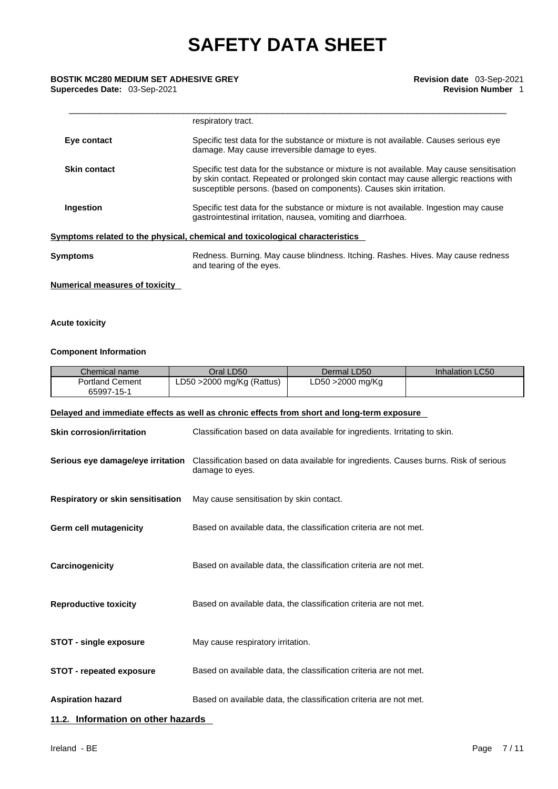#### \_\_\_\_\_\_\_\_\_\_\_\_\_\_\_\_\_\_\_\_\_\_\_\_\_\_\_\_\_\_\_\_\_\_\_\_\_\_\_\_\_\_\_\_\_\_\_\_\_\_\_\_\_\_\_\_\_\_\_\_\_\_\_\_\_\_\_\_\_\_\_\_\_\_\_\_\_\_\_\_\_\_\_\_ **BOSTIK MC280 MEDIUM SET ADHESIVE GREY Revision date** 03-Sep-2021 **Supercedes Date: 03-Sep-2021**

|                     | respiratory tract.                                                                                                                                                                                                                                        |
|---------------------|-----------------------------------------------------------------------------------------------------------------------------------------------------------------------------------------------------------------------------------------------------------|
| Eye contact         | Specific test data for the substance or mixture is not available. Causes serious eye<br>damage. May cause irreversible damage to eyes.                                                                                                                    |
| <b>Skin contact</b> | Specific test data for the substance or mixture is not available. May cause sensitisation<br>by skin contact. Repeated or prolonged skin contact may cause allergic reactions with<br>susceptible persons. (based on components). Causes skin irritation. |
| Ingestion           | Specific test data for the substance or mixture is not available. Ingestion may cause<br>gastrointestinal irritation, nausea, vomiting and diarrhoea.                                                                                                     |
|                     | Symptoms related to the physical, chemical and toxicological characteristics                                                                                                                                                                              |
| Symptoms            | Redness. Burning. May cause blindness. Itching. Rashes. Hives. May cause redness<br>and tearing of the eyes.                                                                                                                                              |

#### **Numerical measures of toxicity**

#### **Acute toxicity**

#### **Component Information**

| Chemical name                        | Oral LD50                    | Dermal LD50       | Inhalation LC50 |
|--------------------------------------|------------------------------|-------------------|-----------------|
| <b>Portland Cement</b><br>65997-15-1 | LD50 $>$ 2000 mg/Kg (Rattus) | LD50 > 2000 mg/Kg |                 |

#### **Delayed and immediate effects as well as chronic effects from short and long-term exposure**

| <b>Skin corrosion/irritation</b>         | Classification based on data available for ingredients. Irritating to skin.                                                                |  |
|------------------------------------------|--------------------------------------------------------------------------------------------------------------------------------------------|--|
|                                          | Serious eye damage/eye irritation Classification based on data available for ingredients. Causes burns. Risk of serious<br>damage to eyes. |  |
| <b>Respiratory or skin sensitisation</b> | May cause sensitisation by skin contact.                                                                                                   |  |
| <b>Germ cell mutagenicity</b>            | Based on available data, the classification criteria are not met.                                                                          |  |
| Carcinogenicity                          | Based on available data, the classification criteria are not met.                                                                          |  |
| <b>Reproductive toxicity</b>             | Based on available data, the classification criteria are not met.                                                                          |  |
| <b>STOT - single exposure</b>            | May cause respiratory irritation.                                                                                                          |  |
| <b>STOT - repeated exposure</b>          | Based on available data, the classification criteria are not met.                                                                          |  |
| <b>Aspiration hazard</b>                 | Based on available data, the classification criteria are not met.                                                                          |  |
| 11.2. Information on other hazards       |                                                                                                                                            |  |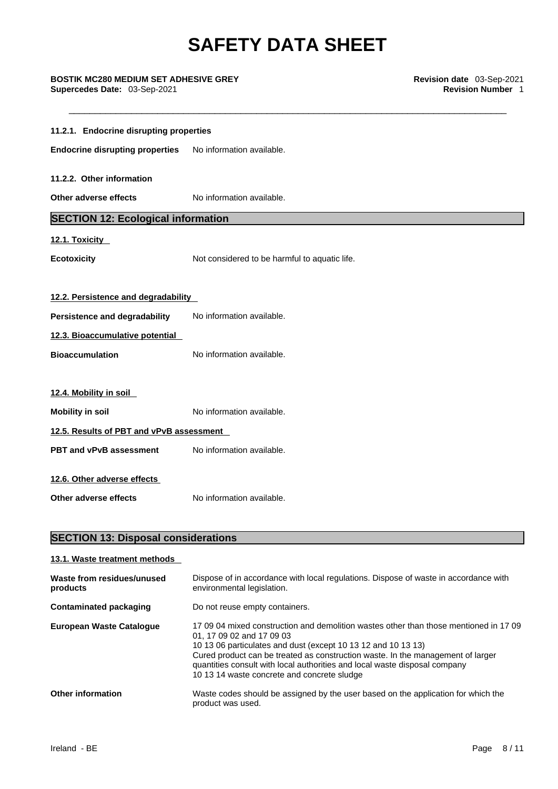#### \_\_\_\_\_\_\_\_\_\_\_\_\_\_\_\_\_\_\_\_\_\_\_\_\_\_\_\_\_\_\_\_\_\_\_\_\_\_\_\_\_\_\_\_\_\_\_\_\_\_\_\_\_\_\_\_\_\_\_\_\_\_\_\_\_\_\_\_\_\_\_\_\_\_\_\_\_\_\_\_\_\_\_\_ **BOSTIK MC280 MEDIUM SET ADHESIVE GREY Revision date** 03-Sep-2021 **Supercedes Date: 03-Sep-2021**

| 11.2.1. Endocrine disrupting properties   |                                               |  |
|-------------------------------------------|-----------------------------------------------|--|
| <b>Endocrine disrupting properties</b>    | No information available.                     |  |
| 11.2.2. Other information                 |                                               |  |
| Other adverse effects                     | No information available.                     |  |
| <b>SECTION 12: Ecological information</b> |                                               |  |
| 12.1. Toxicity                            |                                               |  |
| <b>Ecotoxicity</b>                        | Not considered to be harmful to aquatic life. |  |
|                                           |                                               |  |
| 12.2. Persistence and degradability       |                                               |  |
| Persistence and degradability             | No information available.                     |  |
| 12.3. Bioaccumulative potential           |                                               |  |
| <b>Bioaccumulation</b>                    | No information available.                     |  |
|                                           |                                               |  |
| 12.4. Mobility in soil                    |                                               |  |
| <b>Mobility in soil</b>                   | No information available.                     |  |
| 12.5. Results of PBT and vPvB assessment  |                                               |  |
| <b>PBT and vPvB assessment</b>            | No information available.                     |  |
| 12.6. Other adverse effects               |                                               |  |
| Other adverse effects                     | No information available.                     |  |
|                                           |                                               |  |

### **SECTION 13: Disposal considerations**

| 13.1. Waste treatment methods          |                                                                                                                                                                                                                                                                                                                                                                                                     |
|----------------------------------------|-----------------------------------------------------------------------------------------------------------------------------------------------------------------------------------------------------------------------------------------------------------------------------------------------------------------------------------------------------------------------------------------------------|
| Waste from residues/unused<br>products | Dispose of in accordance with local regulations. Dispose of waste in accordance with<br>environmental legislation.                                                                                                                                                                                                                                                                                  |
| Contaminated packaging                 | Do not reuse empty containers.                                                                                                                                                                                                                                                                                                                                                                      |
| European Waste Catalogue               | 17,09,04 mixed construction and demolition wastes other than those mentioned in 17,09<br>01, 17 09 02 and 17 09 03<br>10 13 06 particulates and dust (except 10 13 12 and 10 13 13)<br>Cured product can be treated as construction waste. In the management of larger<br>quantities consult with local authorities and local waste disposal company<br>10 13 14 waste concrete and concrete sludge |
| <b>Other information</b>               | Waste codes should be assigned by the user based on the application for which the<br>product was used.                                                                                                                                                                                                                                                                                              |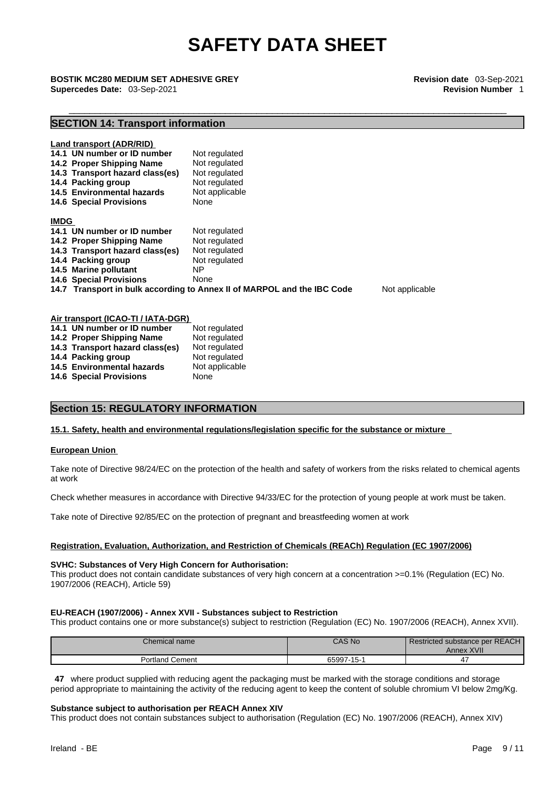### \_\_\_\_\_\_\_\_\_\_\_\_\_\_\_\_\_\_\_\_\_\_\_\_\_\_\_\_\_\_\_\_\_\_\_\_\_\_\_\_\_\_\_\_\_\_\_\_\_\_\_\_\_\_\_\_\_\_\_\_\_\_\_\_\_\_\_\_\_\_\_\_\_\_\_\_\_\_\_\_\_\_\_\_ **BOSTIK MC280 MEDIUM SET ADHESIVE GREY Revision date** 03-Sep-2021 **Supercedes Date:** 03-Sep-2021 **Revision Number** 1

### **SECTION 14: Transport information**

| Land transport (ADR/RID)<br>14.1 UN number or ID number<br>14.2 Proper Shipping Name<br>14.3 Transport hazard class(es)<br>14.4 Packing group<br>14.5 Environmental hazards<br><b>14.6 Special Provisions</b> | Not regulated<br>Not regulated<br>Not regulated<br>Not regulated<br>Not applicable<br>None |  |
|---------------------------------------------------------------------------------------------------------------------------------------------------------------------------------------------------------------|--------------------------------------------------------------------------------------------|--|
| <b>IMDG</b>                                                                                                                                                                                                   |                                                                                            |  |
| 14.1 UN number or ID number                                                                                                                                                                                   | Not regulated                                                                              |  |
| 14.2 Proper Shipping Name                                                                                                                                                                                     | Not regulated                                                                              |  |
| 14.3 Transport hazard class(es)                                                                                                                                                                               | Not regulated                                                                              |  |
| 14.4 Packing group                                                                                                                                                                                            | Not regulated                                                                              |  |
| 14.5 Marine pollutant                                                                                                                                                                                         | NΡ                                                                                         |  |
| <b>14.6 Special Provisions</b>                                                                                                                                                                                | None                                                                                       |  |
| Not applicable<br>14.7 Transport in bulk according to Annex II of MARPOL and the IBC Code                                                                                                                     |                                                                                            |  |
| Air transport (ICAO-TI / IATA-DCD)                                                                                                                                                                            |                                                                                            |  |

| All transport (ICAO-TI / IATA-DGR) |                |  |
|------------------------------------|----------------|--|
| 14.1 UN number or ID number        | Not regulated  |  |
| 14.2 Proper Shipping Name          | Not regulated  |  |
| 14.3 Transport hazard class(es)    | Not regulated  |  |
| 14.4 Packing group                 | Not regulated  |  |
| 14.5 Environmental hazards         | Not applicable |  |
| <b>14.6 Special Provisions</b>     | None           |  |

#### **Section 15: REGULATORY INFORMATION**

#### **15.1. Safety, health and environmental regulations/legislation specific for the substance or mixture**

#### **European Union**

Take note of Directive 98/24/EC on the protection of the health and safety of workers from the risks related to chemical agents at work

Check whether measures in accordance with Directive 94/33/EC for the protection of young people at work must be taken.

Take note of Directive 92/85/EC on the protection of pregnant and breastfeeding women at work

#### **Registration, Evaluation, Authorization, and Restriction of Chemicals (REACh) Regulation (EC 1907/2006)**

#### **SVHC: Substances of Very High Concern for Authorisation:**

This product does not contain candidate substances of very high concern at a concentration >=0.1% (Regulation (EC) No. 1907/2006 (REACH), Article 59)

#### **EU-REACH (1907/2006) - Annex XVII - Substances subject to Restriction**

This product contains one or more substance(s) subject to restriction (Regulation (EC) No. 1907/2006 (REACH), Annex XVII).

| Chemical name      | <b>CAS No</b> | Restricted substance per REACH<br>Annex XVII |
|--------------------|---------------|----------------------------------------------|
| Cement<br>Portland | 65997-15-1    |                                              |

**47** where product supplied with reducing agent the packaging must be marked with the storage conditions and storage period appropriate to maintaining the activity of the reducing agent to keep the content of soluble chromium VI below 2mg/Kg.

#### **Substance subject to authorisation per REACH Annex XIV**

This product does not contain substances subject to authorisation (Regulation (EC) No. 1907/2006 (REACH), Annex XIV)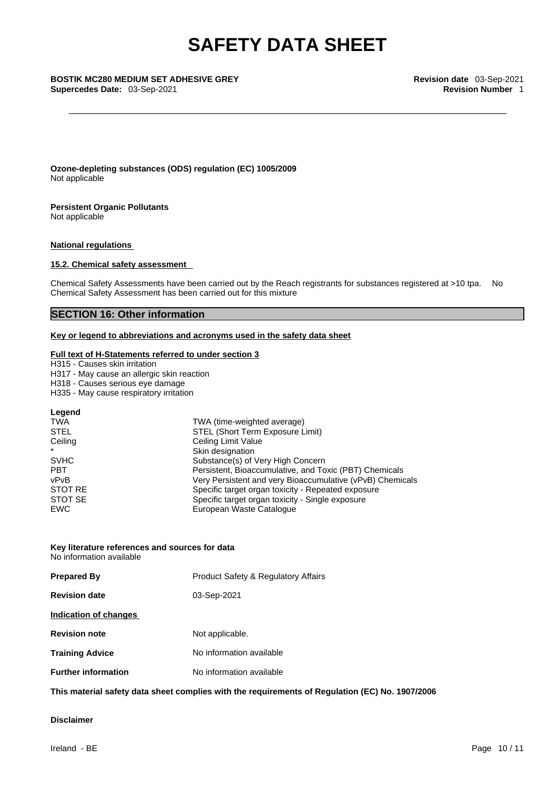**Ozone-depleting substances (ODS) regulation (EC) 1005/2009** Not applicable

**Persistent Organic Pollutants**

Not applicable

#### **National regulations**

#### **15.2. Chemical safety assessment**

Chemical Safety Assessments have been carried out by the Reach registrants for substances registered at >10 tpa. No Chemical Safety Assessment has been carried out for this mixture

### **SECTION 16: Other information**

#### **Key or legend to abbreviations and acronyms used in the safety data sheet**

#### **Full text of H-Statements referred to under section 3**

H315 - Causes skin irritation

- H317 May cause an allergic skin reaction
- H318 Causes serious eye damage
- H335 May cause respiratory irritation

#### **Legend**

| <b>TWA</b>  | TWA (time-weighted average)                               |
|-------------|-----------------------------------------------------------|
| <b>STEL</b> | STEL (Short Term Exposure Limit)                          |
| Ceiling     | Ceiling Limit Value                                       |
| $\star$     | Skin designation                                          |
| <b>SVHC</b> | Substance(s) of Very High Concern                         |
| <b>PBT</b>  | Persistent, Bioaccumulative, and Toxic (PBT) Chemicals    |
| vPvB        | Very Persistent and very Bioaccumulative (vPvB) Chemicals |
| STOT RE     | Specific target organ toxicity - Repeated exposure        |
| STOT SE     | Specific target organ toxicity - Single exposure          |
| <b>EWC</b>  | European Waste Catalogue                                  |

#### **Key literature references and sources for data** No information available

| <b>Prepared By</b>         | <b>Product Safety &amp; Regulatory Affairs</b> |  |
|----------------------------|------------------------------------------------|--|
| <b>Revision date</b>       | 03-Sep-2021                                    |  |
| Indication of changes      |                                                |  |
| <b>Revision note</b>       | Not applicable.                                |  |
| Training Advice            | No information available                       |  |
| <b>Further information</b> | No information available                       |  |

**This material safety data sheet complies with the requirements of Regulation (EC) No. 1907/2006**

### **Disclaimer**